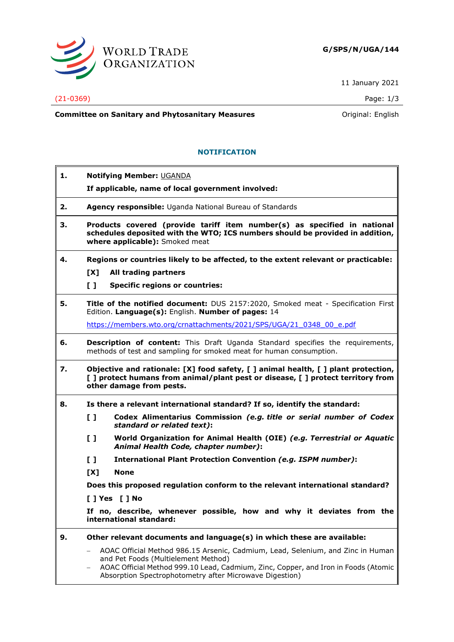

11 January 2021

## (21-0369) Page: 1/3

**Committee on Sanitary and Phytosanitary Measures Committee on Sanitary and Phytosanitary Measures Committee on Sanitary and Phytosanitary Measures** 

## **NOTIFICATION**

| 1. | Notifying Member: UGANDA                                                                                                                                                                                                                                                |
|----|-------------------------------------------------------------------------------------------------------------------------------------------------------------------------------------------------------------------------------------------------------------------------|
|    | If applicable, name of local government involved:                                                                                                                                                                                                                       |
| 2. | Agency responsible: Uganda National Bureau of Standards                                                                                                                                                                                                                 |
| З. | Products covered (provide tariff item number(s) as specified in national<br>schedules deposited with the WTO; ICS numbers should be provided in addition,<br>where applicable): Smoked meat                                                                             |
| 4. | Regions or countries likely to be affected, to the extent relevant or practicable:                                                                                                                                                                                      |
|    | All trading partners<br>[X]                                                                                                                                                                                                                                             |
|    | $\mathbf{L}$<br><b>Specific regions or countries:</b>                                                                                                                                                                                                                   |
| 5. | Title of the notified document: DUS 2157:2020, Smoked meat - Specification First<br>Edition. Language(s): English. Number of pages: 14                                                                                                                                  |
|    | https://members.wto.org/crnattachments/2021/SPS/UGA/21 0348 00 e.pdf                                                                                                                                                                                                    |
| 6. | Description of content: This Draft Uganda Standard specifies the requirements,<br>methods of test and sampling for smoked meat for human consumption.                                                                                                                   |
| 7. | Objective and rationale: [X] food safety, [] animal health, [] plant protection,<br>[ ] protect humans from animal/plant pest or disease, [ ] protect territory from<br>other damage from pests.                                                                        |
| 8. | Is there a relevant international standard? If so, identify the standard:                                                                                                                                                                                               |
|    | $\mathbf{L}$<br>Codex Alimentarius Commission (e.g. title or serial number of Codex<br>standard or related text):                                                                                                                                                       |
|    | $\mathbf{L}$<br>World Organization for Animal Health (OIE) (e.g. Terrestrial or Aquatic<br>Animal Health Code, chapter number):                                                                                                                                         |
|    | $\mathbf{L}$<br>International Plant Protection Convention (e.g. ISPM number):                                                                                                                                                                                           |
|    | [X]<br><b>None</b>                                                                                                                                                                                                                                                      |
|    | Does this proposed regulation conform to the relevant international standard?                                                                                                                                                                                           |
|    | [ ] Yes [ ] No                                                                                                                                                                                                                                                          |
|    | If no, describe, whenever possible, how and why it deviates from the<br>international standard:                                                                                                                                                                         |
| 9. | Other relevant documents and language(s) in which these are available:                                                                                                                                                                                                  |
|    | AOAC Official Method 986.15 Arsenic, Cadmium, Lead, Selenium, and Zinc in Human<br>and Pet Foods (Multielement Method)<br>AOAC Official Method 999.10 Lead, Cadmium, Zinc, Copper, and Iron in Foods (Atomic<br>Absorption Spectrophotometry after Microwave Digestion) |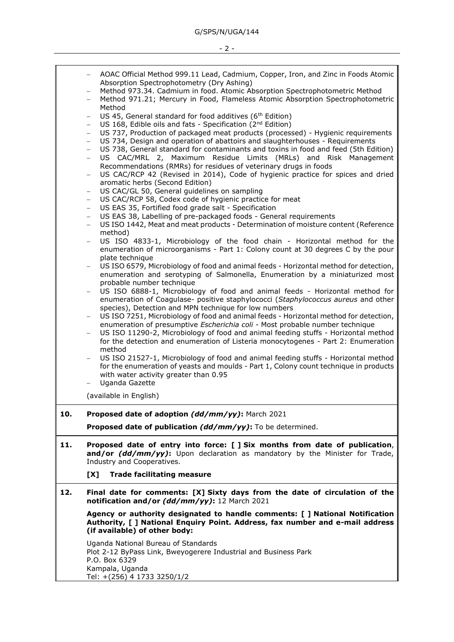− AOAC Official Method 999.11 Lead, Cadmium, Copper, Iron, and Zinc in Foods Atomic Absorption Spectrophotometry (Dry Ashing) − Method 973.34. Cadmium in food. Atomic Absorption Spectrophotometric Method − Method 971.21; Mercury in Food, Flameless Atomic Absorption Spectrophotometric Method US 45, General standard for food additives (6<sup>th</sup> Edition) US 168, Edible oils and fats - Specification (2<sup>nd</sup> Edition) US 737, Production of packaged meat products (processed) - Hygienic requirements − US 734, Design and operation of abattoirs and slaughterhouses - Requirements US 738, General standard for contaminants and toxins in food and feed (5th Edition) US CAC/MRL 2, Maximum Residue Limits (MRLs) and Risk Management Recommendations (RMRs) for residues of veterinary drugs in foods US CAC/RCP 42 (Revised in 2014), Code of hygienic practice for spices and dried aromatic herbs (Second Edition) US CAC/GL 50, General guidelines on sampling − US CAC/RCP 58, Codex code of hygienic practice for meat − US EAS 35, Fortified food grade salt - Specification − US EAS 38, Labelling of pre-packaged foods - General requirements − US ISO 1442, Meat and meat products - Determination of moisture content (Reference method) − US ISO 4833-1, Microbiology of the food chain - Horizontal method for the enumeration of microorganisms - Part 1: Colony count at 30 degrees C by the pour plate technique US ISO 6579, Microbiology of food and animal feeds - Horizontal method for detection, enumeration and serotyping of Salmonella, Enumeration by a miniaturized most probable number technique US ISO 6888-1, Microbiology of food and animal feeds - Horizontal method for enumeration of Coagulase- positive staphylococci (*Staphylococcus aureus* and other species), Detection and MPN technique for low numbers US ISO 7251, Microbiology of food and animal feeds - Horizontal method for detection, enumeration of presumptive *Escherichia coli* - Most probable number technique US ISO 11290-2, Microbiology of food and animal feeding stuffs - Horizontal method for the detection and enumeration of Listeria monocytogenes - Part 2: Enumeration method US ISO 21527-1, Microbiology of food and animal feeding stuffs - Horizontal method for the enumeration of yeasts and moulds - Part 1, Colony count technique in products with water activity greater than 0.95 − Uganda Gazette (available in English) **10. Proposed date of adoption** *(dd/mm/yy)***:** March 2021 **Proposed date of publication** *(dd/mm/yy)***:** To be determined. **11. Proposed date of entry into force: [ ] Six months from date of publication**, **and/or** *(dd/mm/yy)***:** Upon declaration as mandatory by the Minister for Trade, Industry and Cooperatives. **[X] Trade facilitating measure 12. Final date for comments: [X] Sixty days from the date of circulation of the notification and/or** *(dd/mm/yy)***:** 12 March 2021 **Agency or authority designated to handle comments: [ ] National Notification Authority, [ ] National Enquiry Point. Address, fax number and e-mail address (if available) of other body:** Uganda National Bureau of Standards Plot 2-12 ByPass Link, Bweyogerere Industrial and Business Park P.O. Box 6329 Kampala, Uganda

Tel: +(256) 4 1733 3250/1/2